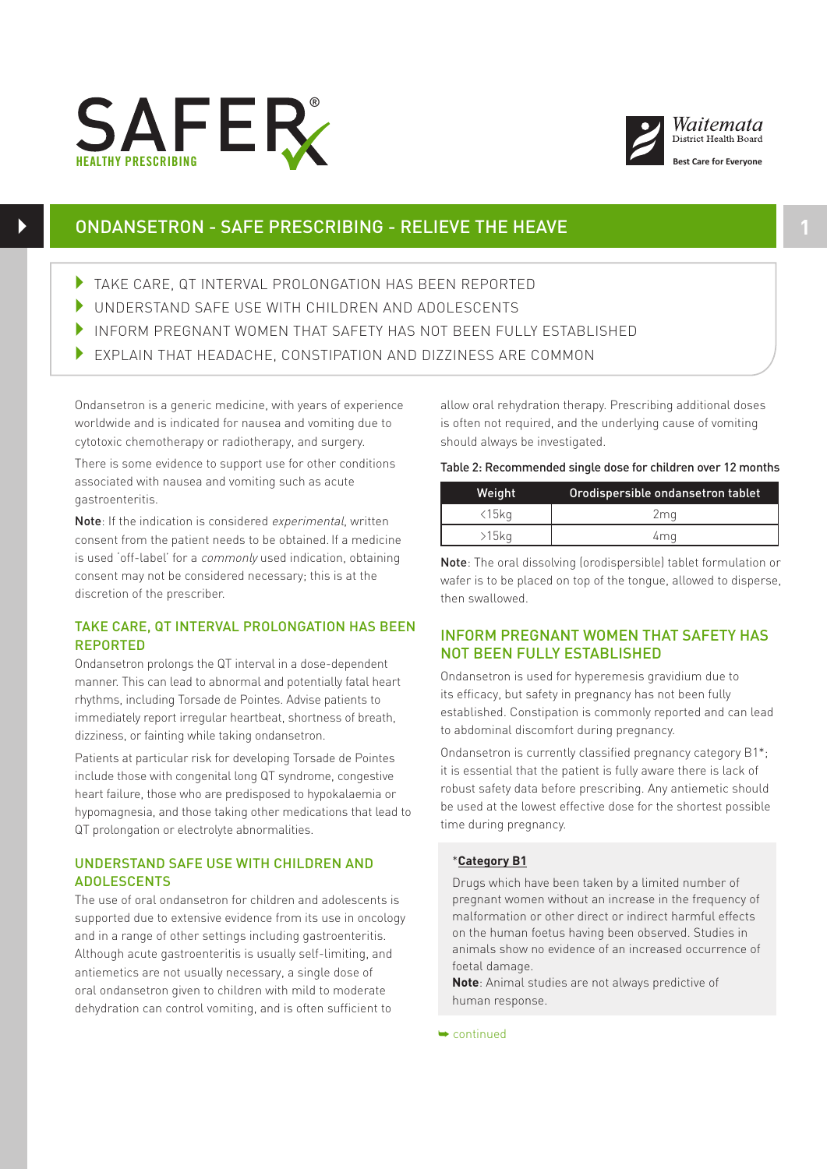



# ONDANSETRON - SAFE PRESCRIBING - RELIEVE THE HEAVE **1**

- TAKE CARE, QT INTERVAL PROLONGATION HAS BEEN REPORTED
- 4 UNDERSTAND SAFE USE WITH CHILDREN AND ADOLESCENTS
- 4 INFORM PREGNANT WOMEN THAT SAFETY HAS NOT BEEN FULLY ESTABLISHED
- 4 EXPLAIN THAT HEADACHE, CONSTIPATION AND DIZZINESS ARE COMMON

Ondansetron is a generic medicine, with years of experience worldwide and is indicated for nausea and vomiting due to cytotoxic chemotherapy or radiotherapy, and surgery.

There is some evidence to support use for other conditions associated with nausea and vomiting such as acute  $g$ astroenteritis.

Note: If the indication is considered experimental, written consent from the patient needs to be obtained. If a medicine is used 'off-label' for a commonly used indication, obtaining consent may not be considered necessary; this is at the discretion of the prescriber.

### TAKE CARE, QT INTERVAL PROLONGATION HAS BEEN REPORTED

Ondansetron prolongs the QT interval in a dose-dependent manner. This can lead to abnormal and potentially fatal heart rhythms, including Torsade de Pointes. Advise patients to immediately report irregular heartbeat, shortness of breath, dizziness, or fainting while taking ondansetron.

Patients at particular risk for developing Torsade de Pointes include those with congenital long QT syndrome, congestive heart failure, those who are predisposed to hypokalaemia or hypomagnesia, and those taking other medications that lead to QT prolongation or electrolyte abnormalities.

## UNDERSTAND SAFE USE WITH CHILDREN AND ADOLESCENTS

The use of oral ondansetron for children and adolescents is supported due to extensive evidence from its use in oncology and in a range of other settings including gastroenteritis. Although acute gastroenteritis is usually self-limiting, and antiemetics are not usually necessary, a single dose of oral ondansetron given to children with mild to moderate dehydration can control vomiting, and is often sufficient to

allow oral rehydration therapy. Prescribing additional doses is often not required, and the underlying cause of vomiting should always be investigated.

Table 2: Recommended single dose for children over 12 months

| Weight         | Orodispersible ondansetron tablet |
|----------------|-----------------------------------|
| $\langle 15kq$ | 2ma                               |
| $>15$ kg       | 4ma                               |

Note: The oral dissolving (orodispersible) tablet formulation or wafer is to be placed on top of the tongue, allowed to disperse, then swallowed.

## INFORM PREGNANT WOMEN THAT SAFETY HAS NOT BEEN FULLY ESTABLISHED

Ondansetron is used for hyperemesis gravidium due to its efficacy, but safety in pregnancy has not been fully established. Constipation is commonly reported and can lead to abdominal discomfort during pregnancy.

Ondansetron is currently classified pregnancy category B1\*; it is essential that the patient is fully aware there is lack of robust safety data before prescribing. Any antiemetic should be used at the lowest effective dose for the shortest possible time during pregnancy.

### \***Category B1**

Drugs which have been taken by a limited number of pregnant women without an increase in the frequency of malformation or other direct or indirect harmful effects on the human foetus having been observed. Studies in animals show no evidence of an increased occurrence of foetal damage.

**Note**: Animal studies are not always predictive of human response.

➥ continued